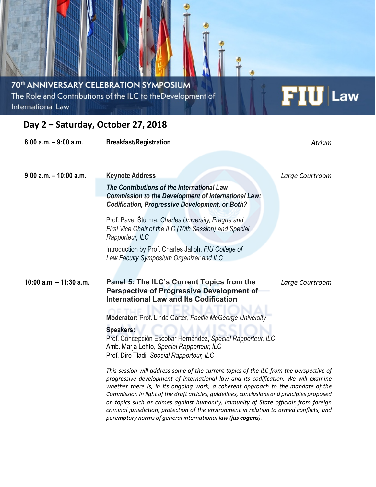### 70<sup>th</sup> ANNIVERSARY CELEBRATION SYMPOSIUM The Role and Contributions of the ILC to theDevelopment of International Law

## **Day 2 – Saturday, October 27, 2018**

| $8:00$ a.m. $-9:00$ a.m.   | <b>Breakfast/Registration</b>                                                                                                                                                                                                                                                                                                                                                                                                                                                                                                                      | Atrium          |
|----------------------------|----------------------------------------------------------------------------------------------------------------------------------------------------------------------------------------------------------------------------------------------------------------------------------------------------------------------------------------------------------------------------------------------------------------------------------------------------------------------------------------------------------------------------------------------------|-----------------|
| $9:00$ a.m. $-10:00$ a.m.  | <b>Keynote Address</b>                                                                                                                                                                                                                                                                                                                                                                                                                                                                                                                             | Large Courtroom |
|                            | The Contributions of the International Law<br><b>Commission to the Development of International Law:</b><br><b>Codification, Progressive Development, or Both?</b>                                                                                                                                                                                                                                                                                                                                                                                 |                 |
|                            | Prof. Pavel Šturma, Charles University, Prague and<br>First Vice Chair of the ILC (70th Session) and Special<br>Rapporteur, ILC                                                                                                                                                                                                                                                                                                                                                                                                                    |                 |
|                            | Introduction by Prof. Charles Jalloh, FIU College of<br>Law Faculty Symposium Organizer and ILC                                                                                                                                                                                                                                                                                                                                                                                                                                                    |                 |
| $10:00$ a.m. $-11:30$ a.m. | Panel 5: The ILC's Current Topics from the<br><b>Perspective of Progressive Development of</b><br><b>International Law and Its Codification</b>                                                                                                                                                                                                                                                                                                                                                                                                    | Large Courtroom |
|                            | Moderator: Prof. Linda Carter, Pacific McGeorge University                                                                                                                                                                                                                                                                                                                                                                                                                                                                                         |                 |
|                            | <b>Speakers:</b><br>Prof. Concepción Escobar Hernández, Special Rapporteur, ILC<br>Amb. Marja Lehto, Special Rapporteur, ILC<br>Prof. Dire Tladi, Special Rapporteur, ILC                                                                                                                                                                                                                                                                                                                                                                          |                 |
|                            | This session will address some of the current topics of the ILC from the perspective of<br>progressive development of international law and its codification. We will examine<br>whether there is, in its ongoing work, a coherent approach to the mandate of the<br>Commission in light of the draft articles, guidelines, conclusions and principles proposed<br>on topics such as crimes against humanity, immunity of State officials from foreign<br>criminal jurisdiction, protection of the environment in relation to armed conflicts, and |                 |

*peremptory norms of general international law (jus cogens).*

# $FIU$  Law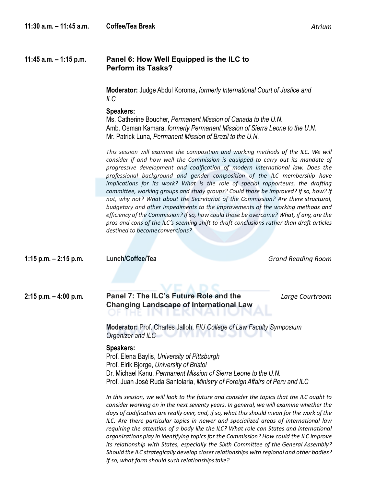#### **11:45 a.m. – 1:15 p.m. Panel 6: How Well Equipped is the ILC to Perform its Tasks?**

**Moderator:** Judge Abdul Koroma, *formerly International Court of Justice and ILC*

#### **Speakers:**

Ms. Catherine Boucher, *Permanent Mission of Canada to the U.N.* Amb. Osman Kamara, *formerly Permanent Mission of Sierra Leone to the U.N.* Mr. Patrick Luna*, Permanent Mission of Brazil to the U.N.*

This session will examine the composition and working methods of the ILC. We will *consider if and how well the Commission is equipped to carry out its mandate of progressive development and codification of modern international law. Does the professional background and gender composition of the ILC membership have implications for its work? What is the role of special rapporteurs, the drafting committee, working groups and study groups? Could those be improved? If so, how? If not, why not? What about the Secretariat of the Commission? Are there structural, budgetary and other impediments to the improvements of the working methods and efficiency of the Commission? If so, how could those be overcome? What, if any, are the pros and cons of the ILC's seeming shift to draft conclusions rather than draft articles destined to becomeconventions?*

**1:15 p.m. – 2:15 p.m. Lunch/Coffee/Tea** *Grand Reading Room* **2:15 p.m. – 4:00 p.m. Panel 7: The ILC's Future Role and the Changing Landscape of International Law** *Large Courtroom* **Moderator:** Prof. Charles Jalloh, *FIU College of Law Faculty Symposium Organizer and ILC* **Speakers:** Prof. Elena Baylis, *University of Pittsburgh* Prof. Eirik Bjorge, *University of Bristol* Dr. Michael Kanu, *Permanent Mission of Sierra Leone to the U.N.* Prof. Juan José Ruda Santolaria, *Ministry of Foreign Affairs of Peru and ILC In this session, we will look to the future and consider the topics that the ILC ought to consider working on in the next seventy years. In general, we will examine whether the days of codification are really over, and, if so, what this should mean for the work of the ILC. Are there particular topics in newer and specialized areas of international law requiring the attention of a body like the ILC? What role can States and international organizations play in identifying topics for the Commission? How could the ILC improve its relationship with States, especially the Sixth Committee of the General Assembly? Should the ILC strategically develop closer relationships with regional and other bodies?*

*If so, what form should such relationshipstake?*